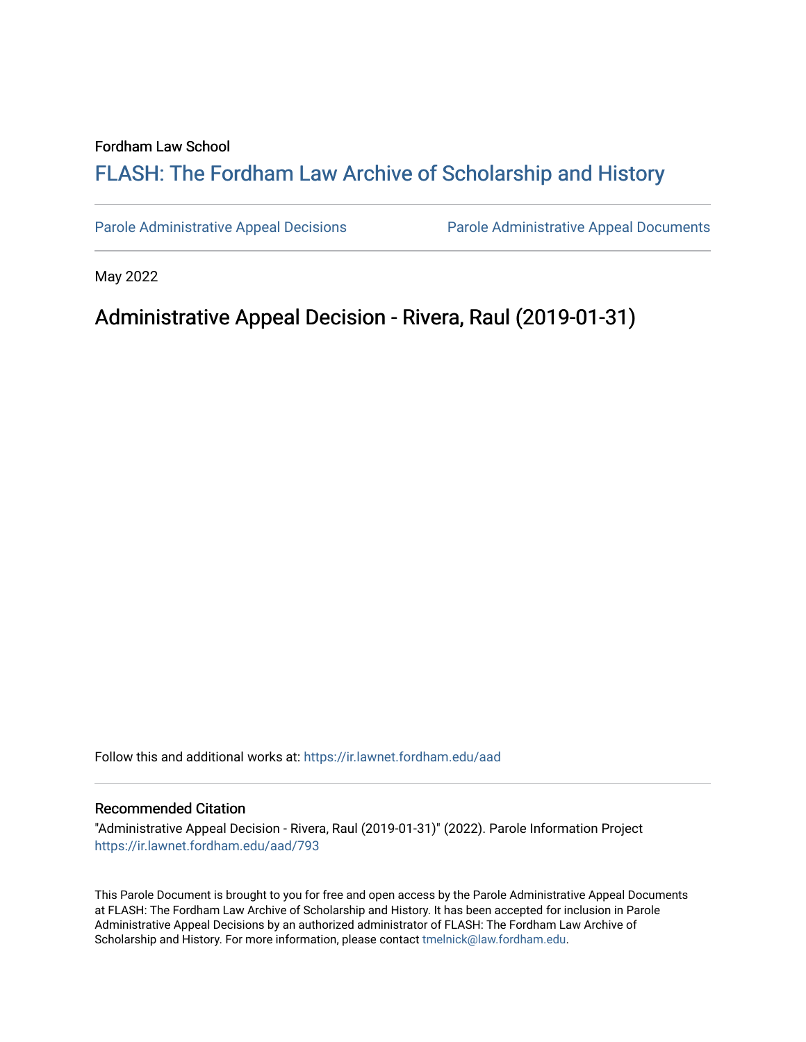#### Fordham Law School

# FLASH: The For[dham Law Archive of Scholarship and Hist](https://ir.lawnet.fordham.edu/)ory

[Parole Administrative Appeal Decisions](https://ir.lawnet.fordham.edu/aad) [Parole Administrative Appeal Documents](https://ir.lawnet.fordham.edu/ad_app_docs) 

May 2022

## Administrative Appeal Decision - Rivera, Raul (2019-01-31)

Follow this and additional works at: [https://ir.lawnet.fordham.edu/aad](https://ir.lawnet.fordham.edu/aad?utm_source=ir.lawnet.fordham.edu%2Faad%2F793&utm_medium=PDF&utm_campaign=PDFCoverPages) 

#### Recommended Citation

"Administrative Appeal Decision - Rivera, Raul (2019-01-31)" (2022). Parole Information Project [https://ir.lawnet.fordham.edu/aad/793](https://ir.lawnet.fordham.edu/aad/793?utm_source=ir.lawnet.fordham.edu%2Faad%2F793&utm_medium=PDF&utm_campaign=PDFCoverPages) 

This Parole Document is brought to you for free and open access by the Parole Administrative Appeal Documents at FLASH: The Fordham Law Archive of Scholarship and History. It has been accepted for inclusion in Parole Administrative Appeal Decisions by an authorized administrator of FLASH: The Fordham Law Archive of Scholarship and History. For more information, please contact [tmelnick@law.fordham.edu](mailto:tmelnick@law.fordham.edu).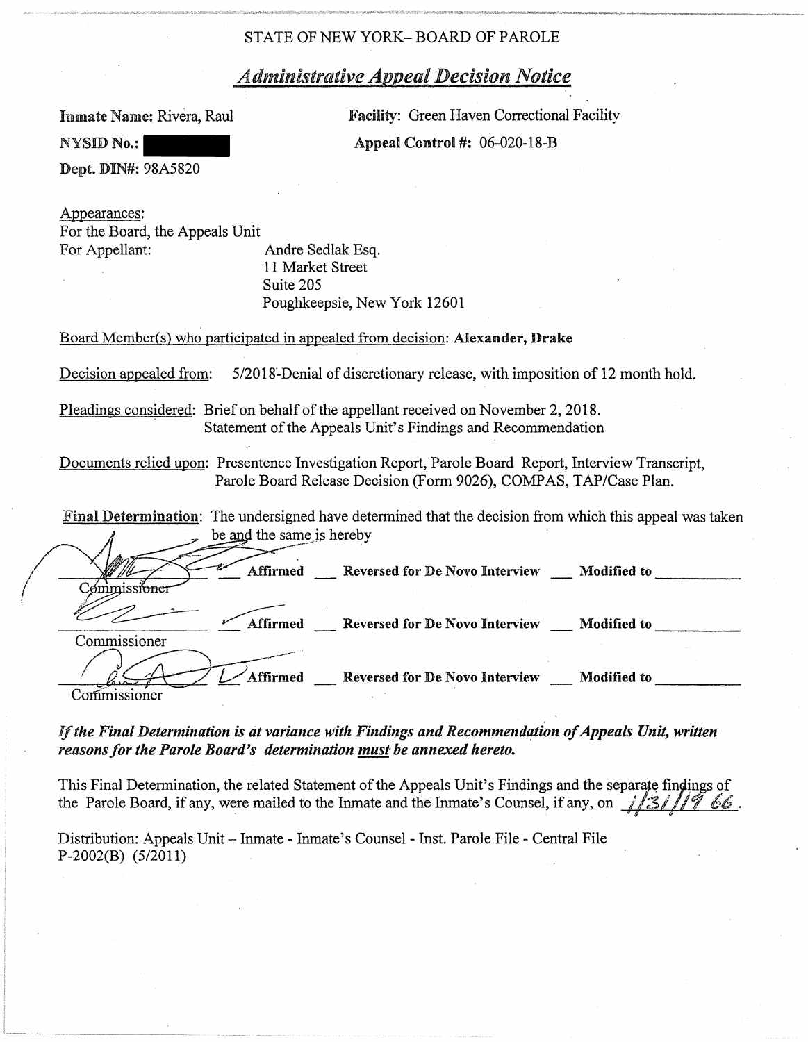## *Administrative Appeal Decision Notice*

Inmate Name: Rivera, Raul

Facility: Green Haven Correctional Facility **Appeal Control #: 06-020-18-B** 

Dept. DIN#: 98A5820

NYSID No.:

Appearances: For the Board, the Appeals Unit For Appellant: Andre Sedlak Esq.

11 Market Street Suite 205 Poughkeepsie, New York 12601

Board Member(s) who participated in appealed from decision: Alexander, Drake

Decision appealed from: 5/2018-Denial of discretionary release, with imposition of 12 month hold.

Pleadings considered: Brief on behalf of the appellant received on November 2, 2018. Statement of the Appeals Unit's Findings and Recommendation

Documents relied upon: Presentence Investigation Report, Parole Board Report, Interview Transcript, Parole Board Release Decision (Form 9026), COMPAS, TAP/Case Plan.

**Final Determination:** The undersigned have determined that the decision from which this appeal was taken be and the same is hereby Â

|              | Affirmed | Reversed for De Novo Interview        | Modified to        |
|--------------|----------|---------------------------------------|--------------------|
| Commissioner | Affirmed | <b>Reversed for De Novo Interview</b> | <b>Modified to</b> |
|              | Affirmed | Reversed for De Novo Interview        | <b>Modified to</b> |

If the Final Determination is at variance with Findings and Recommendation of Appeals Unit, written *reasons for the Parole Board's determination must be annexed hereto.* 

This Final Determination, the related Statement of the Appeals Unit's Findings and the separate findings of the Parole Board, if any, were mailed to the Inmate and the Inmate's Counsel, if any, on  $\frac{1}{3}$  //7 66.

Distribution:.Appeals Unit- Inmate - Inmate's Counsel- Inst. Parole File- Central File P-2002(B) (5/2011)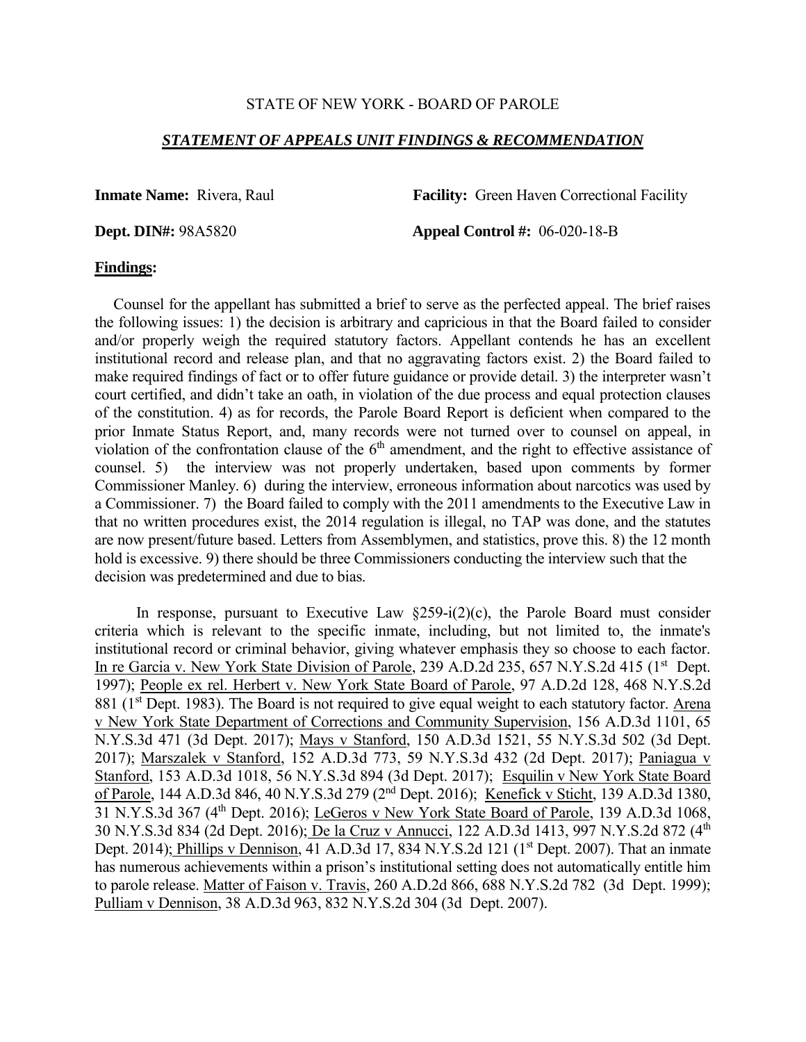## *STATEMENT OF APPEALS UNIT FINDINGS & RECOMMENDATION*

**Inmate Name:** Rivera, Raul **Facility:** Green Haven Correctional Facility

**Dept. DIN#:** 98A5820 **Appeal Control #:** 06-020-18-B

#### **Findings:**

 Counsel for the appellant has submitted a brief to serve as the perfected appeal. The brief raises the following issues: 1) the decision is arbitrary and capricious in that the Board failed to consider and/or properly weigh the required statutory factors. Appellant contends he has an excellent institutional record and release plan, and that no aggravating factors exist. 2) the Board failed to make required findings of fact or to offer future guidance or provide detail. 3) the interpreter wasn't court certified, and didn't take an oath, in violation of the due process and equal protection clauses of the constitution. 4) as for records, the Parole Board Report is deficient when compared to the prior Inmate Status Report, and, many records were not turned over to counsel on appeal, in violation of the confrontation clause of the  $6<sup>th</sup>$  amendment, and the right to effective assistance of counsel. 5) the interview was not properly undertaken, based upon comments by former Commissioner Manley. 6) during the interview, erroneous information about narcotics was used by a Commissioner. 7) the Board failed to comply with the 2011 amendments to the Executive Law in that no written procedures exist, the 2014 regulation is illegal, no TAP was done, and the statutes are now present/future based. Letters from Assemblymen, and statistics, prove this. 8) the 12 month hold is excessive. 9) there should be three Commissioners conducting the interview such that the decision was predetermined and due to bias.

In response, pursuant to Executive Law  $\S259-i(2)(c)$ , the Parole Board must consider criteria which is relevant to the specific inmate, including, but not limited to, the inmate's institutional record or criminal behavior, giving whatever emphasis they so choose to each factor. In re Garcia v. New York State Division of Parole, 239 A.D.2d 235, 657 N.Y.S.2d 415 (1<sup>st</sup> Dept. 1997); People ex rel. Herbert v. New York State Board of Parole, 97 A.D.2d 128, 468 N.Y.S.2d 881 (1<sup>st</sup> Dept. 1983). The Board is not required to give equal weight to each statutory factor. Arena v New York State Department of Corrections and Community Supervision, 156 A.D.3d 1101, 65 N.Y.S.3d 471 (3d Dept. 2017); Mays v Stanford, 150 A.D.3d 1521, 55 N.Y.S.3d 502 (3d Dept. 2017); Marszalek v Stanford, 152 A.D.3d 773, 59 N.Y.S.3d 432 (2d Dept. 2017); Paniagua v Stanford, 153 A.D.3d 1018, 56 N.Y.S.3d 894 (3d Dept. 2017); Esquilin v New York State Board of Parole, 144 A.D.3d 846, 40 N.Y.S.3d 279 (2nd Dept. 2016); Kenefick v Sticht, 139 A.D.3d 1380, 31 N.Y.S.3d 367 (4th Dept. 2016); LeGeros v New York State Board of Parole, 139 A.D.3d 1068, 30 N.Y.S.3d 834 (2d Dept. 2016); De la Cruz v Annucci, 122 A.D.3d 1413, 997 N.Y.S.2d 872 (4th Dept. 2014); Phillips v Dennison, 41 A.D.3d 17, 834 N.Y.S.2d 121 ( $1<sup>st</sup>$  Dept. 2007). That an inmate has numerous achievements within a prison's institutional setting does not automatically entitle him to parole release. Matter of Faison v. Travis, 260 A.D.2d 866, 688 N.Y.S.2d 782 (3d Dept. 1999); Pulliam v Dennison, 38 A.D.3d 963, 832 N.Y.S.2d 304 (3d Dept. 2007).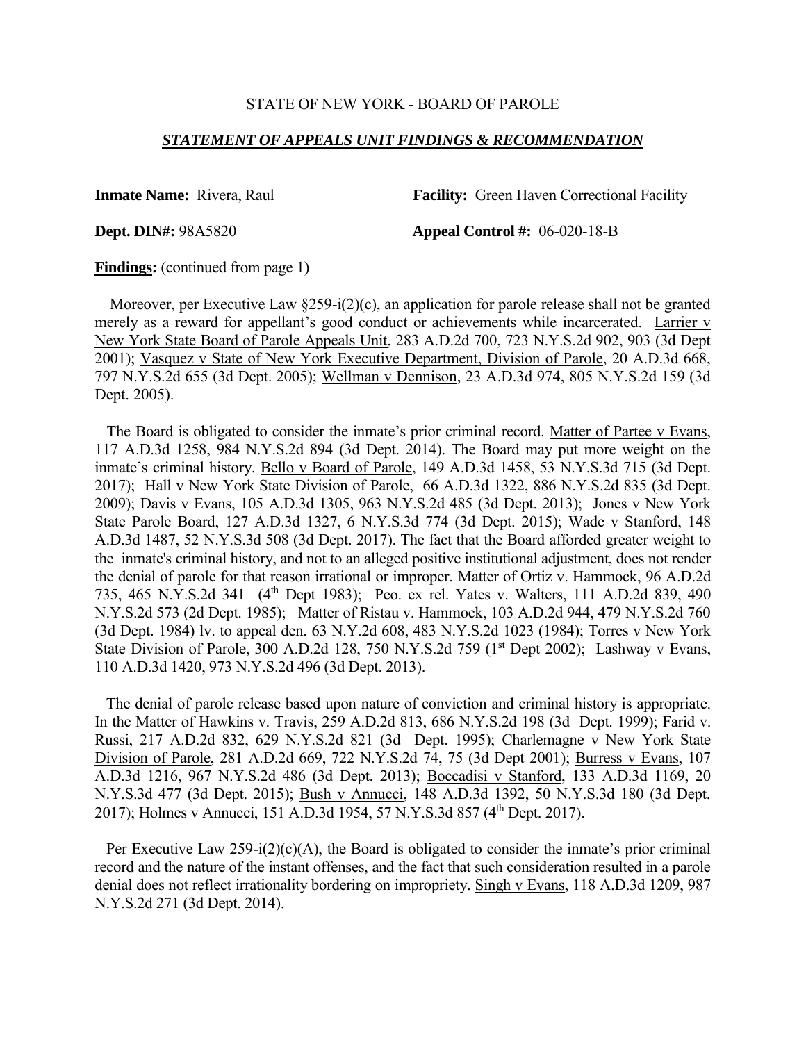#### *STATEMENT OF APPEALS UNIT FINDINGS & RECOMMENDATION*

**Inmate Name:** Rivera, Raul **Facility:** Green Haven Correctional Facility

**Dept. DIN#:** 98A5820 **Appeal Control #:** 06-020-18-B

**Findings:** (continued from page 1)

 Moreover, per Executive Law §259-i(2)(c), an application for parole release shall not be granted merely as a reward for appellant's good conduct or achievements while incarcerated. Larrier v New York State Board of Parole Appeals Unit, 283 A.D.2d 700, 723 N.Y.S.2d 902, 903 (3d Dept 2001); Vasquez v State of New York Executive Department, Division of Parole, 20 A.D.3d 668, 797 N.Y.S.2d 655 (3d Dept. 2005); Wellman v Dennison, 23 A.D.3d 974, 805 N.Y.S.2d 159 (3d Dept. 2005).

 The Board is obligated to consider the inmate's prior criminal record. Matter of Partee v Evans, 117 A.D.3d 1258, 984 N.Y.S.2d 894 (3d Dept. 2014). The Board may put more weight on the inmate's criminal history. Bello v Board of Parole, 149 A.D.3d 1458, 53 N.Y.S.3d 715 (3d Dept. 2017); Hall v New York State Division of Parole, 66 A.D.3d 1322, 886 N.Y.S.2d 835 (3d Dept. 2009); Davis v Evans, 105 A.D.3d 1305, 963 N.Y.S.2d 485 (3d Dept. 2013); Jones v New York State Parole Board, 127 A.D.3d 1327, 6 N.Y.S.3d 774 (3d Dept. 2015); Wade v Stanford, 148 A.D.3d 1487, 52 N.Y.S.3d 508 (3d Dept. 2017). The fact that the Board afforded greater weight to the inmate's criminal history, and not to an alleged positive institutional adjustment, does not render the denial of parole for that reason irrational or improper. Matter of Ortiz v. Hammock, 96 A.D.2d 735, 465 N.Y.S.2d 341 (4<sup>th</sup> Dept 1983); Peo. ex rel. Yates v. Walters, 111 A.D.2d 839, 490 N.Y.S.2d 573 (2d Dept. 1985); Matter of Ristau v. Hammock, 103 A.D.2d 944, 479 N.Y.S.2d 760 (3d Dept. 1984) lv. to appeal den. 63 N.Y.2d 608, 483 N.Y.S.2d 1023 (1984); Torres v New York State Division of Parole, 300 A.D.2d 128, 750 N.Y.S.2d 759  $(1<sup>st</sup>$  Dept 2002); Lashway v Evans, 110 A.D.3d 1420, 973 N.Y.S.2d 496 (3d Dept. 2013).

 The denial of parole release based upon nature of conviction and criminal history is appropriate. In the Matter of Hawkins v. Travis, 259 A.D.2d 813, 686 N.Y.S.2d 198 (3d Dept. 1999); Farid v. Russi, 217 A.D.2d 832, 629 N.Y.S.2d 821 (3d Dept. 1995); Charlemagne v New York State Division of Parole, 281 A.D.2d 669, 722 N.Y.S.2d 74, 75 (3d Dept 2001); Burress v Evans, 107 A.D.3d 1216, 967 N.Y.S.2d 486 (3d Dept. 2013); Boccadisi v Stanford, 133 A.D.3d 1169, 20 N.Y.S.3d 477 (3d Dept. 2015); Bush v Annucci, 148 A.D.3d 1392, 50 N.Y.S.3d 180 (3d Dept. 2017); Holmes v Annucci, 151 A.D.3d 1954, 57 N.Y.S.3d 857 (4<sup>th</sup> Dept. 2017).

Per Executive Law  $259-i(2)(c)(A)$ , the Board is obligated to consider the inmate's prior criminal record and the nature of the instant offenses, and the fact that such consideration resulted in a parole denial does not reflect irrationality bordering on impropriety. Singh v Evans, 118 A.D.3d 1209, 987 N.Y.S.2d 271 (3d Dept. 2014).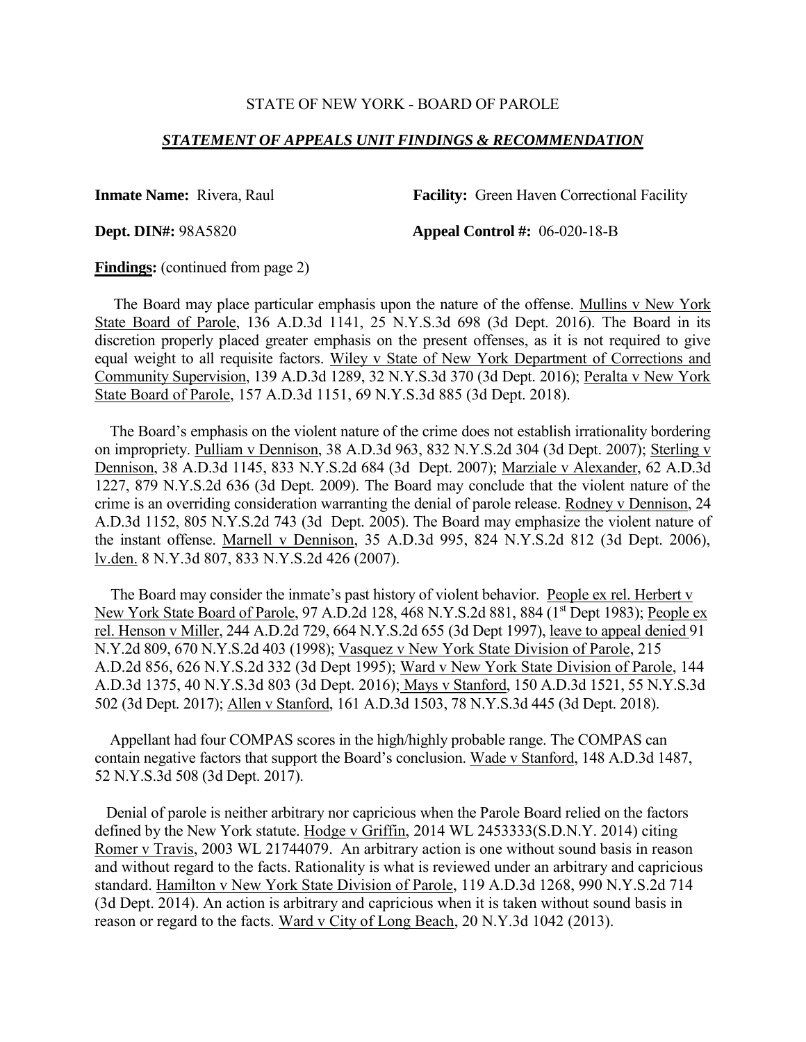#### *STATEMENT OF APPEALS UNIT FINDINGS & RECOMMENDATION*

**Inmate Name:** Rivera, Raul **Facility:** Green Haven Correctional Facility

**Dept. DIN#:** 98A5820 **Appeal Control #:** 06-020-18-B

**Findings:** (continued from page 2)

 The Board may place particular emphasis upon the nature of the offense. Mullins v New York State Board of Parole, 136 A.D.3d 1141, 25 N.Y.S.3d 698 (3d Dept. 2016). The Board in its discretion properly placed greater emphasis on the present offenses, as it is not required to give equal weight to all requisite factors. Wiley v State of New York Department of Corrections and Community Supervision, 139 A.D.3d 1289, 32 N.Y.S.3d 370 (3d Dept. 2016); Peralta v New York State Board of Parole, 157 A.D.3d 1151, 69 N.Y.S.3d 885 (3d Dept. 2018).

 The Board's emphasis on the violent nature of the crime does not establish irrationality bordering on impropriety. Pulliam v Dennison, 38 A.D.3d 963, 832 N.Y.S.2d 304 (3d Dept. 2007); Sterling v Dennison, 38 A.D.3d 1145, 833 N.Y.S.2d 684 (3d Dept. 2007); Marziale v Alexander, 62 A.D.3d 1227, 879 N.Y.S.2d 636 (3d Dept. 2009). The Board may conclude that the violent nature of the crime is an overriding consideration warranting the denial of parole release. Rodney v Dennison, 24 A.D.3d 1152, 805 N.Y.S.2d 743 (3d Dept. 2005). The Board may emphasize the violent nature of the instant offense. Marnell v Dennison, 35 A.D.3d 995, 824 N.Y.S.2d 812 (3d Dept. 2006), lv.den. 8 N.Y.3d 807, 833 N.Y.S.2d 426 (2007).

 The Board may consider the inmate's past history of violent behavior. People ex rel. Herbert v New York State Board of Parole, 97 A.D.2d 128, 468 N.Y.S.2d 881, 884 (1<sup>st</sup> Dept 1983); People ex rel. Henson v Miller, 244 A.D.2d 729, 664 N.Y.S.2d 655 (3d Dept 1997), leave to appeal denied 91 N.Y.2d 809, 670 N.Y.S.2d 403 (1998); Vasquez v New York State Division of Parole, 215 A.D.2d 856, 626 N.Y.S.2d 332 (3d Dept 1995); Ward v New York State Division of Parole, 144 A.D.3d 1375, 40 N.Y.S.3d 803 (3d Dept. 2016); Mays v Stanford, 150 A.D.3d 1521, 55 N.Y.S.3d 502 (3d Dept. 2017); Allen v Stanford, 161 A.D.3d 1503, 78 N.Y.S.3d 445 (3d Dept. 2018).

 Appellant had four COMPAS scores in the high/highly probable range. The COMPAS can contain negative factors that support the Board's conclusion. Wade v Stanford, 148 A.D.3d 1487, 52 N.Y.S.3d 508 (3d Dept. 2017).

 Denial of parole is neither arbitrary nor capricious when the Parole Board relied on the factors defined by the New York statute. Hodge v Griffin, 2014 WL 2453333(S.D.N.Y. 2014) citing Romer v Travis, 2003 WL 21744079. An arbitrary action is one without sound basis in reason and without regard to the facts. Rationality is what is reviewed under an arbitrary and capricious standard. Hamilton v New York State Division of Parole, 119 A.D.3d 1268, 990 N.Y.S.2d 714 (3d Dept. 2014). An action is arbitrary and capricious when it is taken without sound basis in reason or regard to the facts. Ward v City of Long Beach, 20 N.Y.3d 1042 (2013).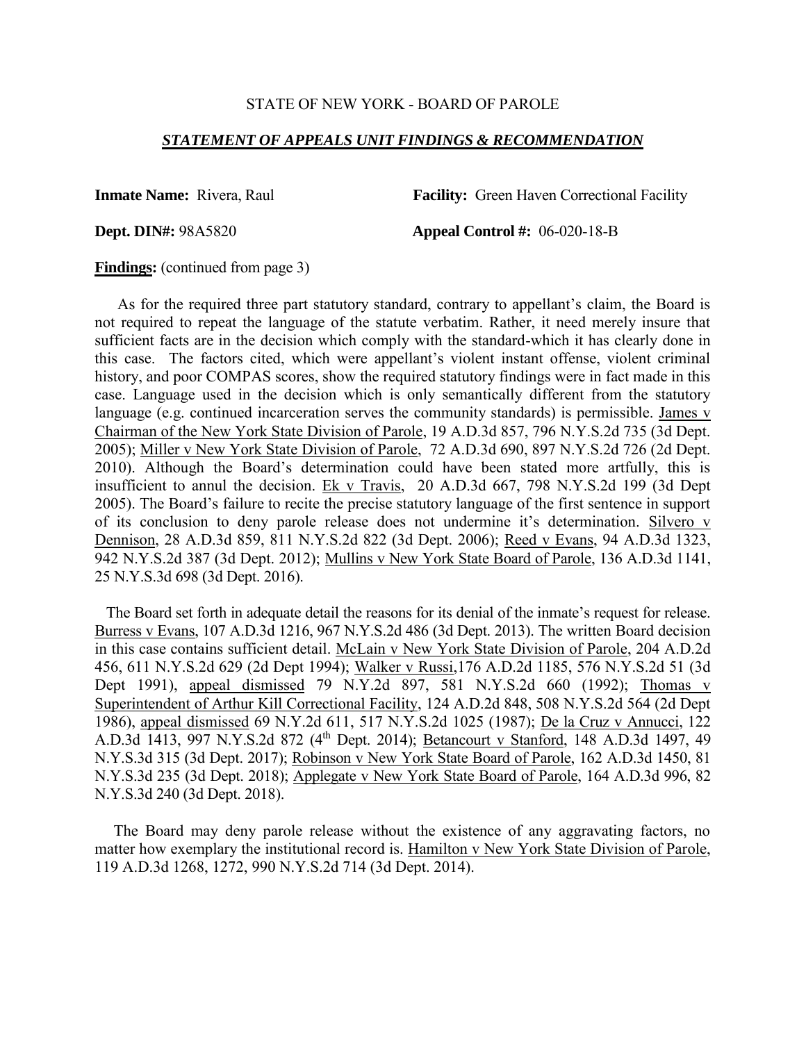#### *STATEMENT OF APPEALS UNIT FINDINGS & RECOMMENDATION*

**Inmate Name:** Rivera, Raul **Facility:** Green Haven Correctional Facility

**Dept. DIN#:** 98A5820 **Appeal Control #:** 06-020-18-B

**Findings:** (continued from page 3)

 As for the required three part statutory standard, contrary to appellant's claim, the Board is not required to repeat the language of the statute verbatim. Rather, it need merely insure that sufficient facts are in the decision which comply with the standard-which it has clearly done in this case. The factors cited, which were appellant's violent instant offense, violent criminal history, and poor COMPAS scores, show the required statutory findings were in fact made in this case. Language used in the decision which is only semantically different from the statutory language (e.g. continued incarceration serves the community standards) is permissible. James v Chairman of the New York State Division of Parole, 19 A.D.3d 857, 796 N.Y.S.2d 735 (3d Dept. 2005); Miller v New York State Division of Parole, 72 A.D.3d 690, 897 N.Y.S.2d 726 (2d Dept. 2010). Although the Board's determination could have been stated more artfully, this is insufficient to annul the decision. Ek v Travis, 20 A.D.3d 667, 798 N.Y.S.2d 199 (3d Dept 2005). The Board's failure to recite the precise statutory language of the first sentence in support of its conclusion to deny parole release does not undermine it's determination. Silvero v Dennison, 28 A.D.3d 859, 811 N.Y.S.2d 822 (3d Dept. 2006); Reed v Evans, 94 A.D.3d 1323, 942 N.Y.S.2d 387 (3d Dept. 2012); Mullins v New York State Board of Parole, 136 A.D.3d 1141, 25 N.Y.S.3d 698 (3d Dept. 2016).

 The Board set forth in adequate detail the reasons for its denial of the inmate's request for release. Burress v Evans, 107 A.D.3d 1216, 967 N.Y.S.2d 486 (3d Dept. 2013). The written Board decision in this case contains sufficient detail. McLain v New York State Division of Parole, 204 A.D.2d 456, 611 N.Y.S.2d 629 (2d Dept 1994); Walker v Russi,176 A.D.2d 1185, 576 N.Y.S.2d 51 (3d Dept 1991), appeal dismissed 79 N.Y.2d 897, 581 N.Y.S.2d 660 (1992); Thomas v Superintendent of Arthur Kill Correctional Facility, 124 A.D.2d 848, 508 N.Y.S.2d 564 (2d Dept 1986), appeal dismissed 69 N.Y.2d 611, 517 N.Y.S.2d 1025 (1987); De la Cruz v Annucci, 122 A.D.3d 1413, 997 N.Y.S.2d 872 (4<sup>th</sup> Dept. 2014); Betancourt v Stanford, 148 A.D.3d 1497, 49 N.Y.S.3d 315 (3d Dept. 2017); Robinson v New York State Board of Parole, 162 A.D.3d 1450, 81 N.Y.S.3d 235 (3d Dept. 2018); Applegate v New York State Board of Parole, 164 A.D.3d 996, 82 N.Y.S.3d 240 (3d Dept. 2018).

 The Board may deny parole release without the existence of any aggravating factors, no matter how exemplary the institutional record is. Hamilton v New York State Division of Parole, 119 A.D.3d 1268, 1272, 990 N.Y.S.2d 714 (3d Dept. 2014).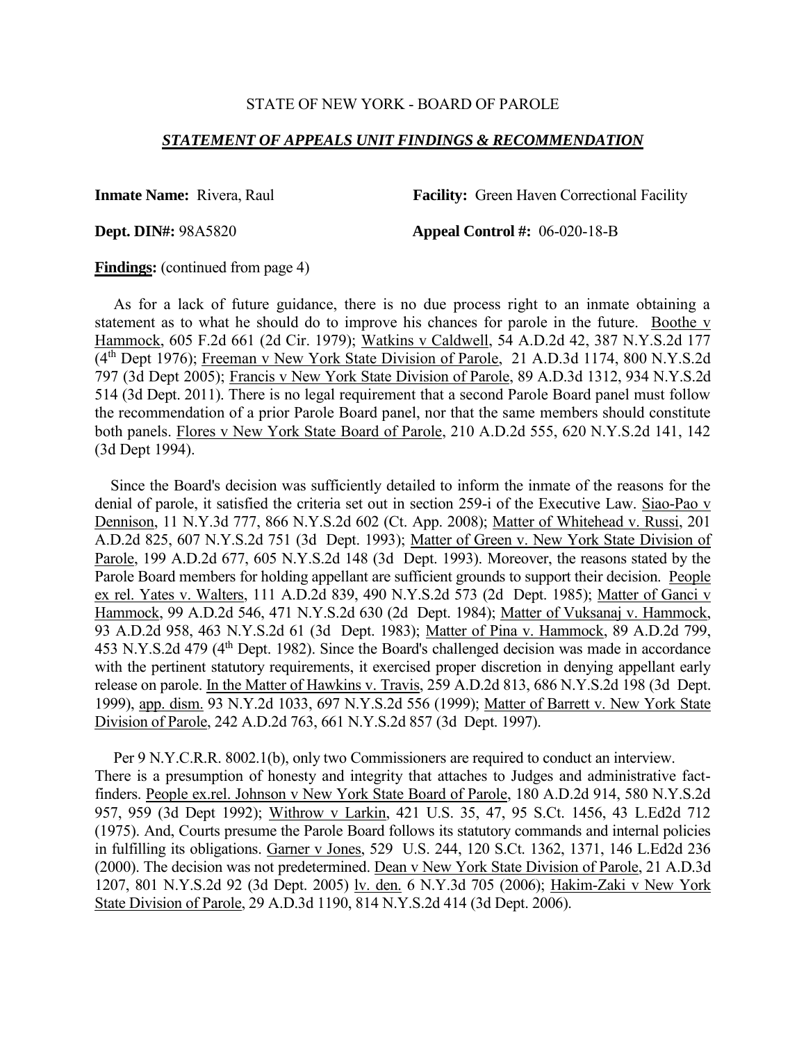#### *STATEMENT OF APPEALS UNIT FINDINGS & RECOMMENDATION*

**Inmate Name:** Rivera, Raul **Facility:** Green Haven Correctional Facility

**Dept. DIN#:** 98A5820 **Appeal Control #:** 06-020-18-B

**Findings:** (continued from page 4)

 As for a lack of future guidance, there is no due process right to an inmate obtaining a statement as to what he should do to improve his chances for parole in the future. Boothe v Hammock, 605 F.2d 661 (2d Cir. 1979); Watkins v Caldwell, 54 A.D.2d 42, 387 N.Y.S.2d 177 (4th Dept 1976); Freeman v New York State Division of Parole, 21 A.D.3d 1174, 800 N.Y.S.2d 797 (3d Dept 2005); Francis v New York State Division of Parole, 89 A.D.3d 1312, 934 N.Y.S.2d 514 (3d Dept. 2011). There is no legal requirement that a second Parole Board panel must follow the recommendation of a prior Parole Board panel, nor that the same members should constitute both panels. Flores v New York State Board of Parole, 210 A.D.2d 555, 620 N.Y.S.2d 141, 142 (3d Dept 1994).

 Since the Board's decision was sufficiently detailed to inform the inmate of the reasons for the denial of parole, it satisfied the criteria set out in section 259-i of the Executive Law. Siao-Pao v Dennison, 11 N.Y.3d 777, 866 N.Y.S.2d 602 (Ct. App. 2008); Matter of Whitehead v. Russi, 201 A.D.2d 825, 607 N.Y.S.2d 751 (3d Dept. 1993); Matter of Green v. New York State Division of Parole, 199 A.D.2d 677, 605 N.Y.S.2d 148 (3d Dept. 1993). Moreover, the reasons stated by the Parole Board members for holding appellant are sufficient grounds to support their decision. People ex rel. Yates v. Walters, 111 A.D.2d 839, 490 N.Y.S.2d 573 (2d Dept. 1985); Matter of Ganci v Hammock, 99 A.D.2d 546, 471 N.Y.S.2d 630 (2d Dept. 1984); Matter of Vuksanaj v. Hammock, 93 A.D.2d 958, 463 N.Y.S.2d 61 (3d Dept. 1983); Matter of Pina v. Hammock, 89 A.D.2d 799, 453 N.Y.S.2d 479 (4th Dept. 1982). Since the Board's challenged decision was made in accordance with the pertinent statutory requirements, it exercised proper discretion in denying appellant early release on parole. In the Matter of Hawkins v. Travis, 259 A.D.2d 813, 686 N.Y.S.2d 198 (3d Dept. 1999), app. dism. 93 N.Y.2d 1033, 697 N.Y.S.2d 556 (1999); Matter of Barrett v. New York State Division of Parole, 242 A.D.2d 763, 661 N.Y.S.2d 857 (3d Dept. 1997).

 Per 9 N.Y.C.R.R. 8002.1(b), only two Commissioners are required to conduct an interview. There is a presumption of honesty and integrity that attaches to Judges and administrative factfinders. People ex.rel. Johnson v New York State Board of Parole, 180 A.D.2d 914, 580 N.Y.S.2d 957, 959 (3d Dept 1992); Withrow v Larkin, 421 U.S. 35, 47, 95 S.Ct. 1456, 43 L.Ed2d 712 (1975). And, Courts presume the Parole Board follows its statutory commands and internal policies in fulfilling its obligations. Garner v Jones, 529 U.S. 244, 120 S.Ct. 1362, 1371, 146 L.Ed2d 236 (2000). The decision was not predetermined. Dean v New York State Division of Parole, 21 A.D.3d 1207, 801 N.Y.S.2d 92 (3d Dept. 2005) lv. den. 6 N.Y.3d 705 (2006); Hakim-Zaki v New York State Division of Parole, 29 A.D.3d 1190, 814 N.Y.S.2d 414 (3d Dept. 2006).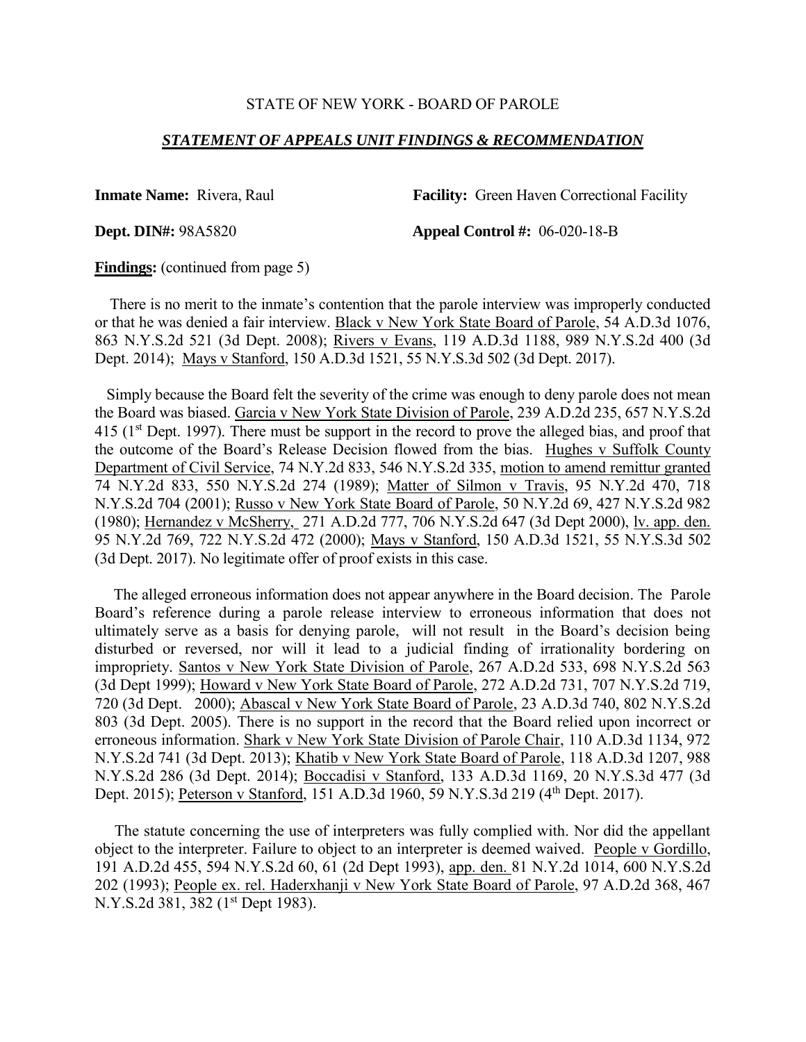#### *STATEMENT OF APPEALS UNIT FINDINGS & RECOMMENDATION*

**Inmate Name:** Rivera, Raul **Facility:** Green Haven Correctional Facility

**Dept. DIN#:** 98A5820 **Appeal Control #:** 06-020-18-B

**Findings:** (continued from page 5)

 There is no merit to the inmate's contention that the parole interview was improperly conducted or that he was denied a fair interview. Black v New York State Board of Parole, 54 A.D.3d 1076, 863 N.Y.S.2d 521 (3d Dept. 2008); Rivers v Evans, 119 A.D.3d 1188, 989 N.Y.S.2d 400 (3d Dept. 2014); Mays v Stanford, 150 A.D.3d 1521, 55 N.Y.S.3d 502 (3d Dept. 2017).

 Simply because the Board felt the severity of the crime was enough to deny parole does not mean the Board was biased. Garcia v New York State Division of Parole, 239 A.D.2d 235, 657 N.Y.S.2d 415 (1<sup>st</sup> Dept. 1997). There must be support in the record to prove the alleged bias, and proof that the outcome of the Board's Release Decision flowed from the bias. Hughes v Suffolk County Department of Civil Service, 74 N.Y.2d 833, 546 N.Y.S.2d 335, motion to amend remittur granted 74 N.Y.2d 833, 550 N.Y.S.2d 274 (1989); Matter of Silmon v Travis, 95 N.Y.2d 470, 718 N.Y.S.2d 704 (2001); Russo v New York State Board of Parole, 50 N.Y.2d 69, 427 N.Y.S.2d 982 (1980); Hernandez v McSherry, 271 A.D.2d 777, 706 N.Y.S.2d 647 (3d Dept 2000), lv. app. den. 95 N.Y.2d 769, 722 N.Y.S.2d 472 (2000); Mays v Stanford, 150 A.D.3d 1521, 55 N.Y.S.3d 502 (3d Dept. 2017). No legitimate offer of proof exists in this case.

 The alleged erroneous information does not appear anywhere in the Board decision. The Parole Board's reference during a parole release interview to erroneous information that does not ultimately serve as a basis for denying parole, will not result in the Board's decision being disturbed or reversed, nor will it lead to a judicial finding of irrationality bordering on impropriety. Santos v New York State Division of Parole, 267 A.D.2d 533, 698 N.Y.S.2d 563 (3d Dept 1999); Howard v New York State Board of Parole, 272 A.D.2d 731, 707 N.Y.S.2d 719, 720 (3d Dept. 2000); Abascal v New York State Board of Parole, 23 A.D.3d 740, 802 N.Y.S.2d 803 (3d Dept. 2005). There is no support in the record that the Board relied upon incorrect or erroneous information. Shark v New York State Division of Parole Chair, 110 A.D.3d 1134, 972 N.Y.S.2d 741 (3d Dept. 2013); Khatib v New York State Board of Parole, 118 A.D.3d 1207, 988 N.Y.S.2d 286 (3d Dept. 2014); Boccadisi v Stanford, 133 A.D.3d 1169, 20 N.Y.S.3d 477 (3d Dept. 2015); Peterson v Stanford, 151 A.D.3d 1960, 59 N.Y.S.3d 219 (4<sup>th</sup> Dept. 2017).

 The statute concerning the use of interpreters was fully complied with. Nor did the appellant object to the interpreter. Failure to object to an interpreter is deemed waived. People v Gordillo, 191 A.D.2d 455, 594 N.Y.S.2d 60, 61 (2d Dept 1993), app. den. 81 N.Y.2d 1014, 600 N.Y.S.2d 202 (1993); People ex. rel. Haderxhanji v New York State Board of Parole, 97 A.D.2d 368, 467 N.Y.S.2d 381, 382 (1st Dept 1983).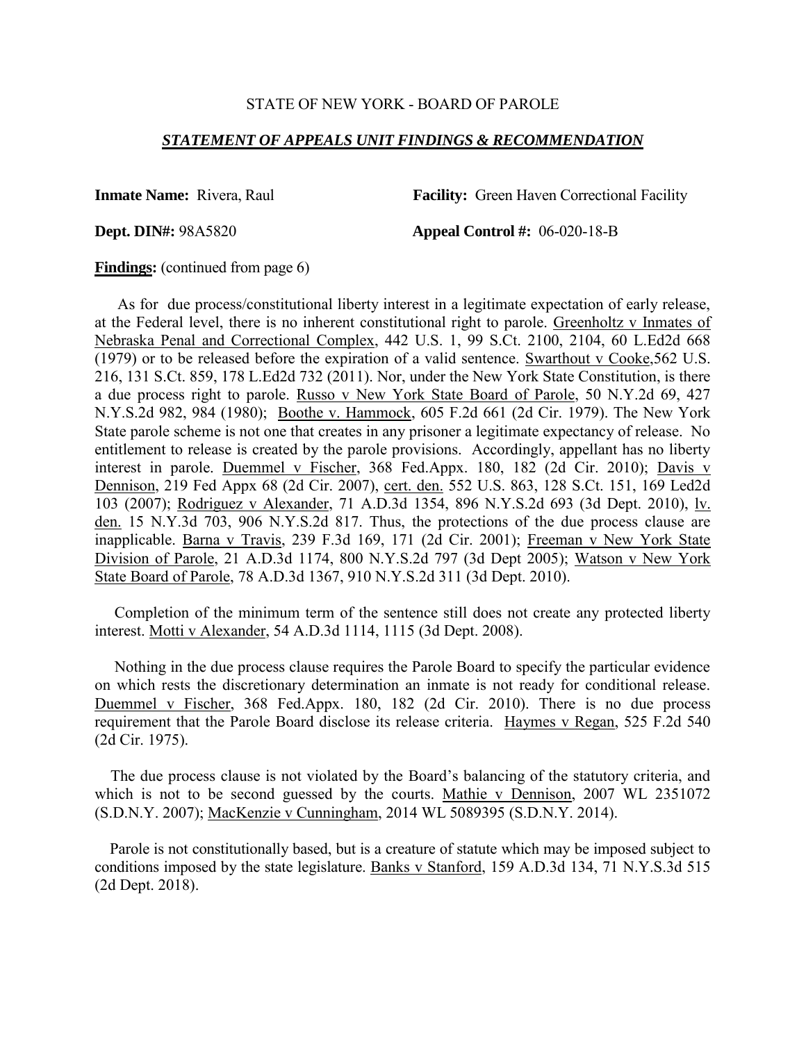#### *STATEMENT OF APPEALS UNIT FINDINGS & RECOMMENDATION*

**Inmate Name:** Rivera, Raul **Facility:** Green Haven Correctional Facility

**Dept. DIN#:** 98A5820 **Appeal Control #:** 06-020-18-B

**Findings:** (continued from page 6)

 As for due process/constitutional liberty interest in a legitimate expectation of early release, at the Federal level, there is no inherent constitutional right to parole. Greenholtz v Inmates of Nebraska Penal and Correctional Complex, 442 U.S. 1, 99 S.Ct. 2100, 2104, 60 L.Ed2d 668 (1979) or to be released before the expiration of a valid sentence. Swarthout v Cooke,562 U.S. 216, 131 S.Ct. 859, 178 L.Ed2d 732 (2011). Nor, under the New York State Constitution, is there a due process right to parole. Russo v New York State Board of Parole, 50 N.Y.2d 69, 427 N.Y.S.2d 982, 984 (1980); Boothe v. Hammock, 605 F.2d 661 (2d Cir. 1979). The New York State parole scheme is not one that creates in any prisoner a legitimate expectancy of release. No entitlement to release is created by the parole provisions. Accordingly, appellant has no liberty interest in parole. Duemmel v Fischer, 368 Fed.Appx. 180, 182 (2d Cir. 2010); Davis v Dennison, 219 Fed Appx 68 (2d Cir. 2007), cert. den. 552 U.S. 863, 128 S.Ct. 151, 169 Led2d 103 (2007); Rodriguez v Alexander, 71 A.D.3d 1354, 896 N.Y.S.2d 693 (3d Dept. 2010), lv. den. 15 N.Y.3d 703, 906 N.Y.S.2d 817. Thus, the protections of the due process clause are inapplicable. Barna v Travis, 239 F.3d 169, 171 (2d Cir. 2001); Freeman v New York State Division of Parole, 21 A.D.3d 1174, 800 N.Y.S.2d 797 (3d Dept 2005); Watson v New York State Board of Parole, 78 A.D.3d 1367, 910 N.Y.S.2d 311 (3d Dept. 2010).

 Completion of the minimum term of the sentence still does not create any protected liberty interest. Motti v Alexander, 54 A.D.3d 1114, 1115 (3d Dept. 2008).

 Nothing in the due process clause requires the Parole Board to specify the particular evidence on which rests the discretionary determination an inmate is not ready for conditional release. Duemmel v Fischer, 368 Fed.Appx. 180, 182 (2d Cir. 2010). There is no due process requirement that the Parole Board disclose its release criteria. Haymes v Regan, 525 F.2d 540 (2d Cir. 1975).

 The due process clause is not violated by the Board's balancing of the statutory criteria, and which is not to be second guessed by the courts. Mathie v Dennison, 2007 WL 2351072 (S.D.N.Y. 2007); MacKenzie v Cunningham, 2014 WL 5089395 (S.D.N.Y. 2014).

 Parole is not constitutionally based, but is a creature of statute which may be imposed subject to conditions imposed by the state legislature. Banks v Stanford, 159 A.D.3d 134, 71 N.Y.S.3d 515 (2d Dept. 2018).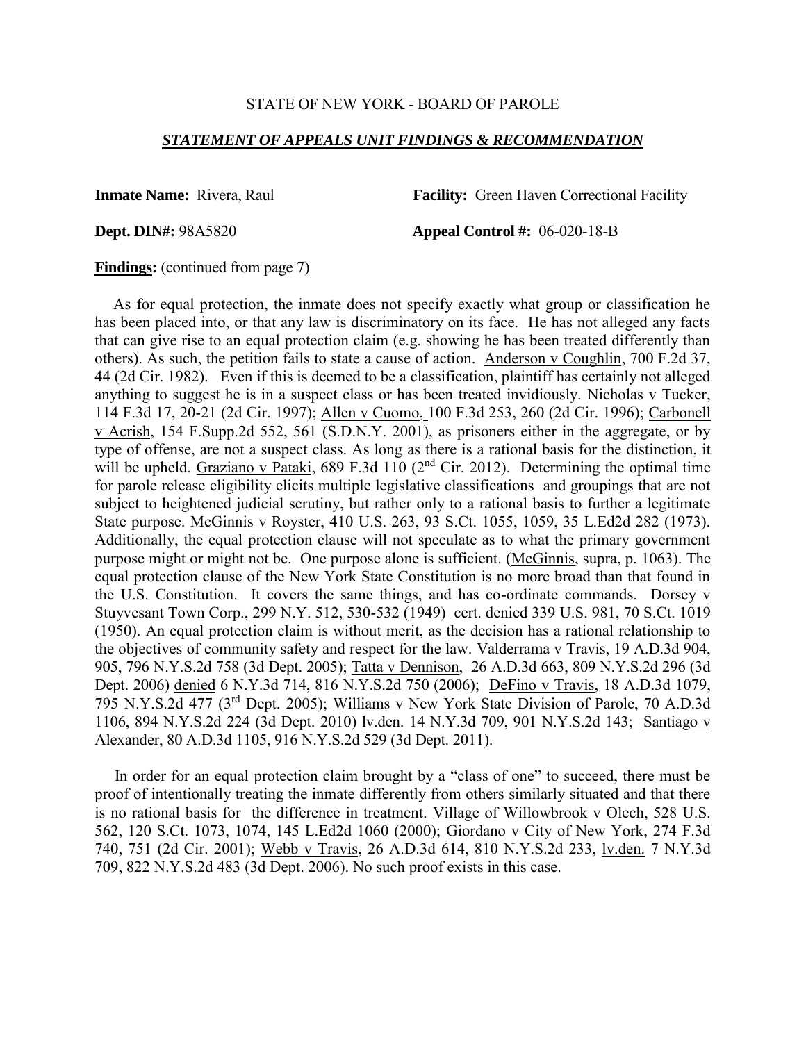## *STATEMENT OF APPEALS UNIT FINDINGS & RECOMMENDATION*

**Inmate Name:** Rivera, Raul **Facility:** Green Haven Correctional Facility

**Dept. DIN#:** 98A5820 **Appeal Control #:** 06-020-18-B

**Findings:** (continued from page 7)

 As for equal protection, the inmate does not specify exactly what group or classification he has been placed into, or that any law is discriminatory on its face. He has not alleged any facts that can give rise to an equal protection claim (e.g. showing he has been treated differently than others). As such, the petition fails to state a cause of action. Anderson v Coughlin, 700 F.2d 37, 44 (2d Cir. 1982). Even if this is deemed to be a classification, plaintiff has certainly not alleged anything to suggest he is in a suspect class or has been treated invidiously. Nicholas v Tucker, 114 F.3d 17, 20-21 (2d Cir. 1997); Allen v Cuomo, 100 F.3d 253, 260 (2d Cir. 1996); Carbonell v Acrish, 154 F.Supp.2d 552, 561 (S.D.N.Y. 2001), as prisoners either in the aggregate, or by type of offense, are not a suspect class. As long as there is a rational basis for the distinction, it will be upheld. Graziano v Pataki, 689 F.3d 110 (2<sup>nd</sup> Cir. 2012). Determining the optimal time for parole release eligibility elicits multiple legislative classifications and groupings that are not subject to heightened judicial scrutiny, but rather only to a rational basis to further a legitimate State purpose. McGinnis v Royster, 410 U.S. 263, 93 S.Ct. 1055, 1059, 35 L.Ed2d 282 (1973). Additionally, the equal protection clause will not speculate as to what the primary government purpose might or might not be. One purpose alone is sufficient. (McGinnis, supra, p. 1063). The equal protection clause of the New York State Constitution is no more broad than that found in the U.S. Constitution. It covers the same things, and has co-ordinate commands. Dorsey v Stuyvesant Town Corp., 299 N.Y. 512, 530-532 (1949) cert. denied 339 U.S. 981, 70 S.Ct. 1019 (1950). An equal protection claim is without merit, as the decision has a rational relationship to the objectives of community safety and respect for the law. Valderrama v Travis, 19 A.D.3d 904, 905, 796 N.Y.S.2d 758 (3d Dept. 2005); Tatta v Dennison, 26 A.D.3d 663, 809 N.Y.S.2d 296 (3d Dept. 2006) denied 6 N.Y.3d 714, 816 N.Y.S.2d 750 (2006); DeFino v Travis, 18 A.D.3d 1079, 795 N.Y.S.2d 477 (3rd Dept. 2005); Williams v New York State Division of Parole, 70 A.D.3d 1106, 894 N.Y.S.2d 224 (3d Dept. 2010) lv.den. 14 N.Y.3d 709, 901 N.Y.S.2d 143; Santiago v Alexander, 80 A.D.3d 1105, 916 N.Y.S.2d 529 (3d Dept. 2011).

 In order for an equal protection claim brought by a "class of one" to succeed, there must be proof of intentionally treating the inmate differently from others similarly situated and that there is no rational basis for the difference in treatment. Village of Willowbrook v Olech, 528 U.S. 562, 120 S.Ct. 1073, 1074, 145 L.Ed2d 1060 (2000); Giordano v City of New York, 274 F.3d 740, 751 (2d Cir. 2001); Webb v Travis, 26 A.D.3d 614, 810 N.Y.S.2d 233, lv.den. 7 N.Y.3d 709, 822 N.Y.S.2d 483 (3d Dept. 2006). No such proof exists in this case.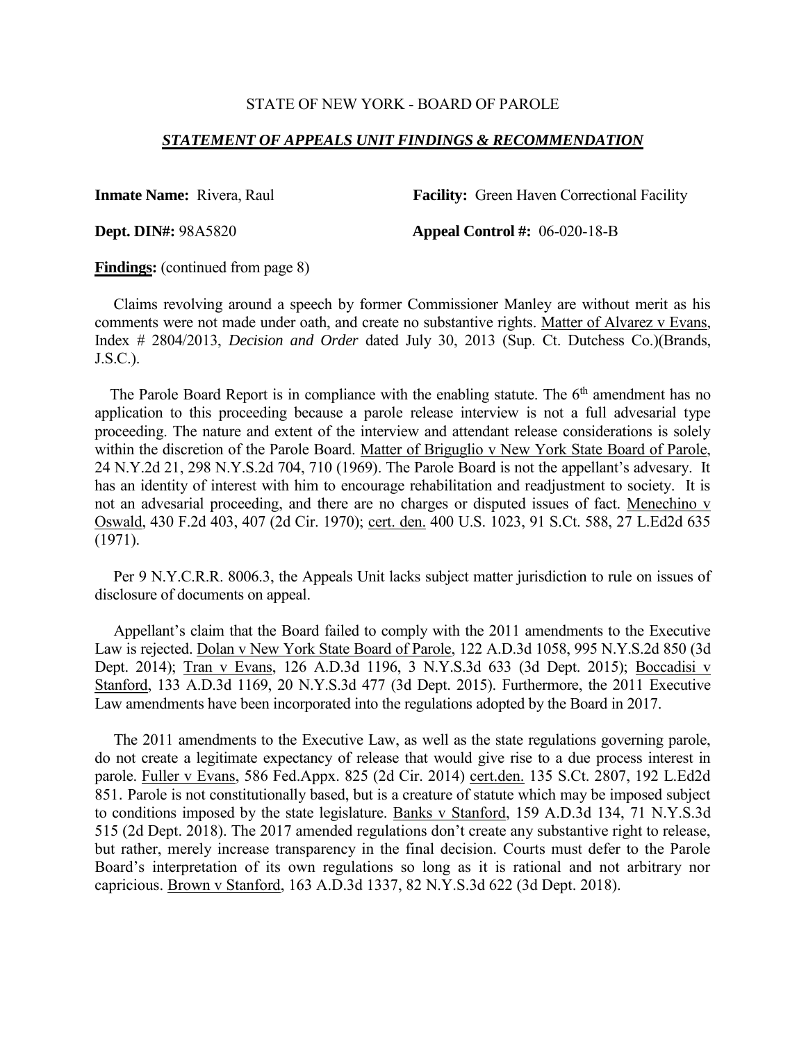## *STATEMENT OF APPEALS UNIT FINDINGS & RECOMMENDATION*

**Inmate Name:** Rivera, Raul **Facility:** Green Haven Correctional Facility

**Dept. DIN#:** 98A5820 **Appeal Control #:** 06-020-18-B

**Findings:** (continued from page 8)

 Claims revolving around a speech by former Commissioner Manley are without merit as his comments were not made under oath, and create no substantive rights. Matter of Alvarez v Evans, Index # 2804/2013, *Decision and Order* dated July 30, 2013 (Sup. Ct. Dutchess Co.)(Brands, J.S.C.).

The Parole Board Report is in compliance with the enabling statute. The  $6<sup>th</sup>$  amendment has no application to this proceeding because a parole release interview is not a full advesarial type proceeding. The nature and extent of the interview and attendant release considerations is solely within the discretion of the Parole Board. Matter of Briguglio v New York State Board of Parole, 24 N.Y.2d 21, 298 N.Y.S.2d 704, 710 (1969). The Parole Board is not the appellant's advesary. It has an identity of interest with him to encourage rehabilitation and readjustment to society. It is not an advesarial proceeding, and there are no charges or disputed issues of fact. Menechino v Oswald, 430 F.2d 403, 407 (2d Cir. 1970); cert. den. 400 U.S. 1023, 91 S.Ct. 588, 27 L.Ed2d 635 (1971).

 Per 9 N.Y.C.R.R. 8006.3, the Appeals Unit lacks subject matter jurisdiction to rule on issues of disclosure of documents on appeal.

 Appellant's claim that the Board failed to comply with the 2011 amendments to the Executive Law is rejected. Dolan v New York State Board of Parole, 122 A.D.3d 1058, 995 N.Y.S.2d 850 (3d Dept. 2014); Tran v Evans, 126 A.D.3d 1196, 3 N.Y.S.3d 633 (3d Dept. 2015); Boccadisi v Stanford, 133 A.D.3d 1169, 20 N.Y.S.3d 477 (3d Dept. 2015). Furthermore, the 2011 Executive Law amendments have been incorporated into the regulations adopted by the Board in 2017.

 The 2011 amendments to the Executive Law, as well as the state regulations governing parole, do not create a legitimate expectancy of release that would give rise to a due process interest in parole. Fuller v Evans, 586 Fed.Appx. 825 (2d Cir. 2014) cert.den. 135 S.Ct. 2807, 192 L.Ed2d 851. Parole is not constitutionally based, but is a creature of statute which may be imposed subject to conditions imposed by the state legislature. Banks v Stanford, 159 A.D.3d 134, 71 N.Y.S.3d 515 (2d Dept. 2018). The 2017 amended regulations don't create any substantive right to release, but rather, merely increase transparency in the final decision. Courts must defer to the Parole Board's interpretation of its own regulations so long as it is rational and not arbitrary nor capricious. Brown v Stanford, 163 A.D.3d 1337, 82 N.Y.S.3d 622 (3d Dept. 2018).